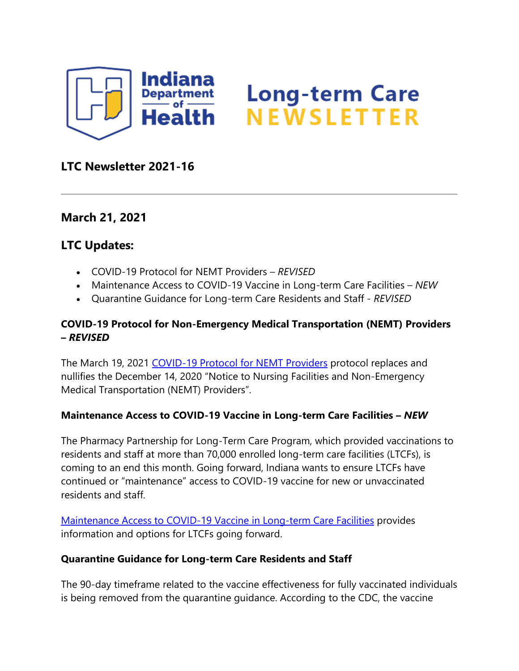

# **Long-term Care<br>NEWSLETTER**

# **LTC Newsletter 2021-16**

## **March 21, 2021**

## **LTC Updates:**

- COVID-19 Protocol for NEMT Providers *REVISED*
- Maintenance Access to COVID-19 Vaccine in Long-term Care Facilities *NEW*
- Quarantine Guidance for Long-term Care Residents and Staff *REVISED*

### **COVID-19 Protocol for Non-Emergency Medical Transportation (NEMT) Providers –** *REVISED*

The March 19, 2021 [COVID-19 Protocol for](https://www.coronavirus.in.gov/files/Notice-to-Nursing-Facilities-NEMT-Providers_March-19_2021.pdf) NEMT Providers protocol replaces and nullifies the December 14, 2020 "Notice to Nursing Facilities and Non-Emergency Medical Transportation (NEMT) Providers".

#### **Maintenance Access to COVID-19 Vaccine in Long-term Care Facilities –** *NEW*

The Pharmacy Partnership for Long-Term Care Program, which provided vaccinations to residents and staff at more than 70,000 enrolled long-term care facilities (LTCFs), is coming to an end this month. Going forward, Indiana wants to ensure LTCFs have continued or "maintenance" access to COVID-19 vaccine for new or unvaccinated residents and staff.

[Maintenance Access to COVID-19 Vaccine in Long-term Care Facilities](https://www.coronavirus.in.gov/files/LTC-Maintenance-Federal-Program-3.19.21.pdf) provides information and options for LTCFs going forward.

#### **Quarantine Guidance for Long-term Care Residents and Staff**

The 90-day timeframe related to the vaccine effectiveness for fully vaccinated individuals is being removed from the quarantine guidance. According to the CDC, the vaccine